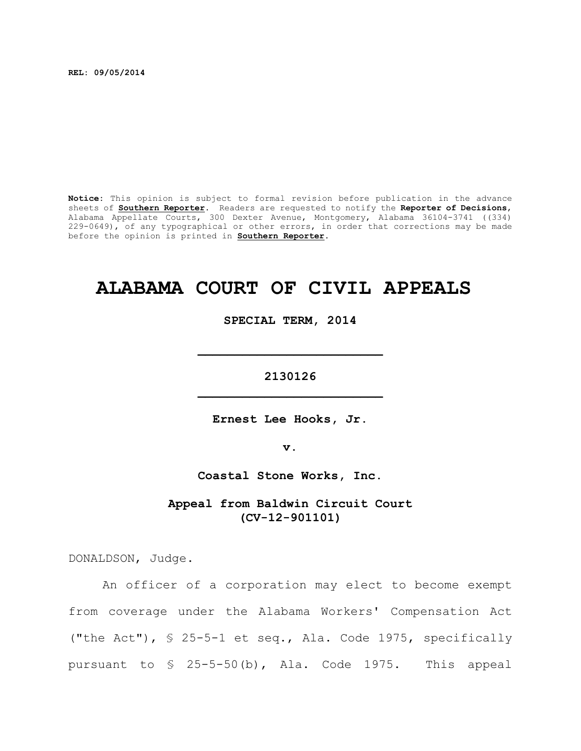**REL: 09/05/2014**

**Notice:** This opinion is subject to formal revision before publication in the advance sheets of **Southern Reporter**. Readers are requested to notify the **Reporter of Decisions**, Alabama Appellate Courts, 300 Dexter Avenue, Montgomery, Alabama 36104-3741 ((334) 229-0649), of any typographical or other errors, in order that corrections may be made before the opinion is printed in **Southern Reporter**.

# **ALABAMA COURT OF CIVIL APPEALS**

**SPECIAL TERM, 2014**

**\_\_\_\_\_\_\_\_\_\_\_\_\_\_\_\_\_\_\_\_\_\_\_\_\_**

**2130126 \_\_\_\_\_\_\_\_\_\_\_\_\_\_\_\_\_\_\_\_\_\_\_\_\_**

**Ernest Lee Hooks, Jr.**

**v.**

**Coastal Stone Works, Inc.**

**Appeal from Baldwin Circuit Court (CV-12-901101)**

DONALDSON, Judge.

An officer of a corporation may elect to become exempt from coverage under the Alabama Workers' Compensation Act ("the Act"), § 25-5-1 et seq., Ala. Code 1975, specifically pursuant to § 25-5-50(b), Ala. Code 1975. This appeal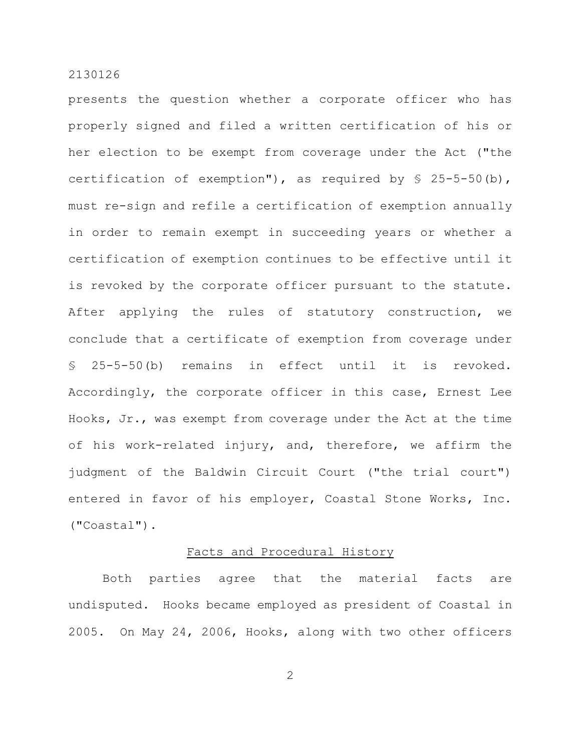presents the question whether a corporate officer who has properly signed and filed a written certification of his or her election to be exempt from coverage under the Act ("the certification of exemption"), as required by  $\S$  25-5-50(b), must re-sign and refile a certification of exemption annually in order to remain exempt in succeeding years or whether a certification of exemption continues to be effective until it is revoked by the corporate officer pursuant to the statute. After applying the rules of statutory construction, we conclude that a certificate of exemption from coverage under § 25-5-50(b) remains in effect until it is revoked. Accordingly, the corporate officer in this case, Ernest Lee Hooks, Jr., was exempt from coverage under the Act at the time of his work-related injury, and, therefore, we affirm the judgment of the Baldwin Circuit Court ("the trial court") entered in favor of his employer, Coastal Stone Works, Inc. ("Coastal").

#### Facts and Procedural History

Both parties agree that the material facts are undisputed. Hooks became employed as president of Coastal in 2005. On May 24, 2006, Hooks, along with two other officers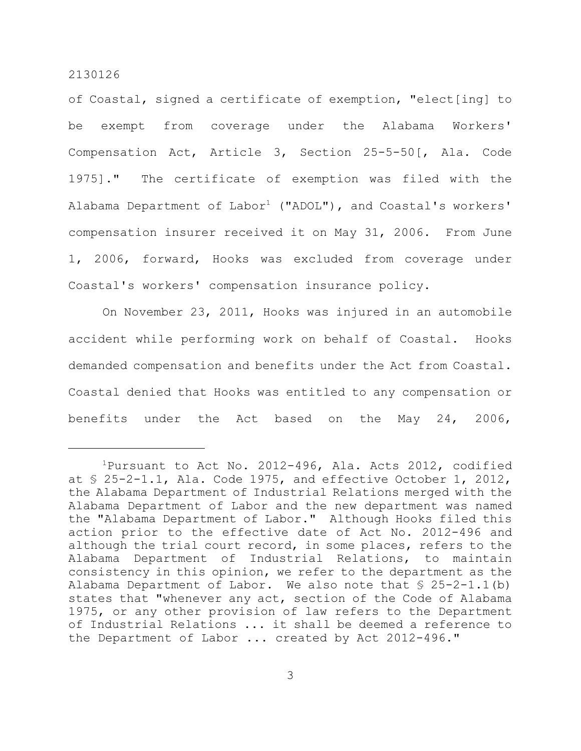of Coastal, signed a certificate of exemption, "elect[ing] to be exempt from coverage under the Alabama Workers' Compensation Act, Article 3, Section 25-5-50[, Ala. Code 1975]." The certificate of exemption was filed with the Alabama Department of  $Labor<sup>1</sup>$  ("ADOL"), and Coastal's workers' compensation insurer received it on May 31, 2006. From June 1, 2006, forward, Hooks was excluded from coverage under Coastal's workers' compensation insurance policy.

On November 23, 2011, Hooks was injured in an automobile accident while performing work on behalf of Coastal. Hooks demanded compensation and benefits under the Act from Coastal. Coastal denied that Hooks was entitled to any compensation or benefits under the Act based on the May 24, 2006,

 $1$ Pursuant to Act No. 2012-496, Ala. Acts 2012, codified at § 25-2-1.1, Ala. Code 1975, and effective October 1, 2012, the Alabama Department of Industrial Relations merged with the Alabama Department of Labor and the new department was named the "Alabama Department of Labor." Although Hooks filed this action prior to the effective date of Act No. 2012-496 and although the trial court record, in some places, refers to the Alabama Department of Industrial Relations, to maintain consistency in this opinion, we refer to the department as the Alabama Department of Labor. We also note that § 25-2-1.1(b) states that "whenever any act, section of the Code of Alabama 1975, or any other provision of law refers to the Department of Industrial Relations ... it shall be deemed a reference to the Department of Labor ... created by Act 2012-496."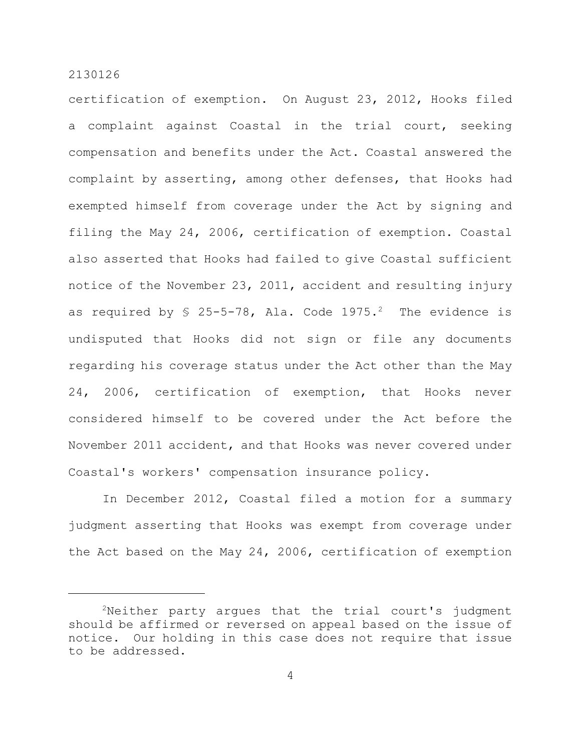certification of exemption. On August 23, 2012, Hooks filed a complaint against Coastal in the trial court, seeking compensation and benefits under the Act. Coastal answered the complaint by asserting, among other defenses, that Hooks had exempted himself from coverage under the Act by signing and filing the May 24, 2006, certification of exemption. Coastal also asserted that Hooks had failed to give Coastal sufficient notice of the November 23, 2011, accident and resulting injury as required by  $$ 25-5-78$ , Ala. Code 1975.<sup>2</sup> The evidence is undisputed that Hooks did not sign or file any documents regarding his coverage status under the Act other than the May 24, 2006, certification of exemption, that Hooks never considered himself to be covered under the Act before the November 2011 accident, and that Hooks was never covered under Coastal's workers' compensation insurance policy.

In December 2012, Coastal filed a motion for a summary judgment asserting that Hooks was exempt from coverage under the Act based on the May 24, 2006, certification of exemption

 $2$ Neither party argues that the trial court's judgment should be affirmed or reversed on appeal based on the issue of notice. Our holding in this case does not require that issue to be addressed.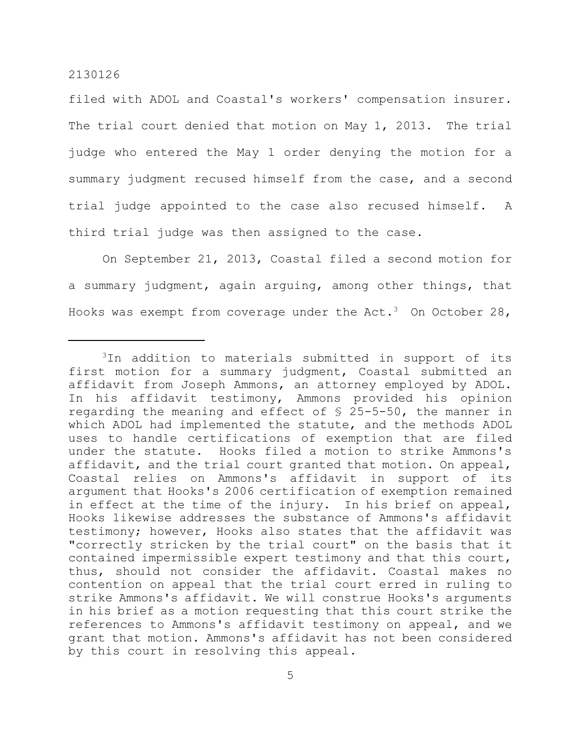filed with ADOL and Coastal's workers' compensation insurer. The trial court denied that motion on May 1, 2013. The trial judge who entered the May 1 order denying the motion for a summary judgment recused himself from the case, and a second trial judge appointed to the case also recused himself. A third trial judge was then assigned to the case.

On September 21, 2013, Coastal filed a second motion for a summary judgment, again arguing, among other things, that Hooks was exempt from coverage under the Act.<sup>3</sup> On October 28,

 $3$ In addition to materials submitted in support of its first motion for a summary judgment, Coastal submitted an affidavit from Joseph Ammons, an attorney employed by ADOL. In his affidavit testimony, Ammons provided his opinion regarding the meaning and effect of § 25-5-50, the manner in which ADOL had implemented the statute, and the methods ADOL uses to handle certifications of exemption that are filed under the statute. Hooks filed a motion to strike Ammons's affidavit, and the trial court granted that motion. On appeal, Coastal relies on Ammons's affidavit in support of its argument that Hooks's 2006 certification of exemption remained in effect at the time of the injury. In his brief on appeal, Hooks likewise addresses the substance of Ammons's affidavit testimony; however, Hooks also states that the affidavit was "correctly stricken by the trial court" on the basis that it contained impermissible expert testimony and that this court, thus, should not consider the affidavit. Coastal makes no contention on appeal that the trial court erred in ruling to strike Ammons's affidavit. We will construe Hooks's arguments in his brief as a motion requesting that this court strike the references to Ammons's affidavit testimony on appeal, and we grant that motion. Ammons's affidavit has not been considered by this court in resolving this appeal.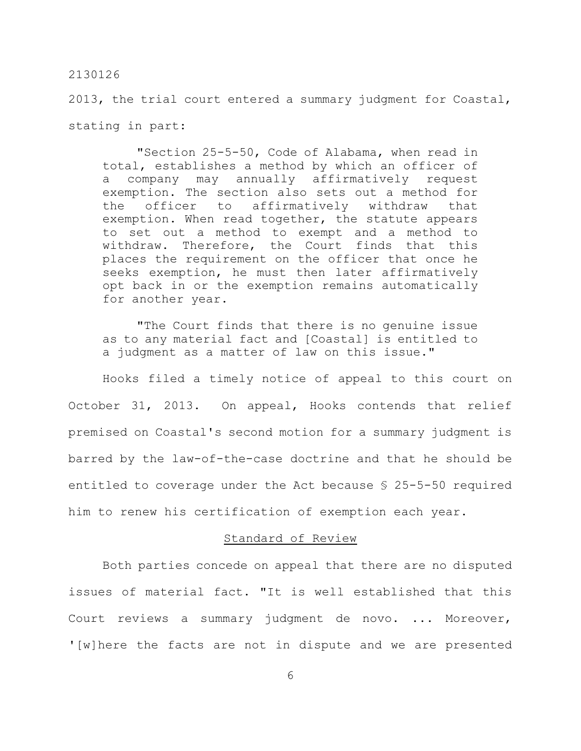2013, the trial court entered a summary judgment for Coastal, stating in part:

"Section 25-5-50, Code of Alabama, when read in total, establishes a method by which an officer of a company may annually affirmatively request exemption. The section also sets out a method for the officer to affirmatively withdraw that exemption. When read together, the statute appears to set out a method to exempt and a method to withdraw. Therefore, the Court finds that this places the requirement on the officer that once he seeks exemption, he must then later affirmatively opt back in or the exemption remains automatically for another year.

"The Court finds that there is no genuine issue as to any material fact and [Coastal] is entitled to a judgment as a matter of law on this issue."

Hooks filed a timely notice of appeal to this court on October 31, 2013. On appeal, Hooks contends that relief premised on Coastal's second motion for a summary judgment is barred by the law-of-the-case doctrine and that he should be entitled to coverage under the Act because § 25-5-50 required him to renew his certification of exemption each year.

# Standard of Review

Both parties concede on appeal that there are no disputed issues of material fact. "It is well established that this Court reviews a summary judgment de novo. ... Moreover, '[w]here the facts are not in dispute and we are presented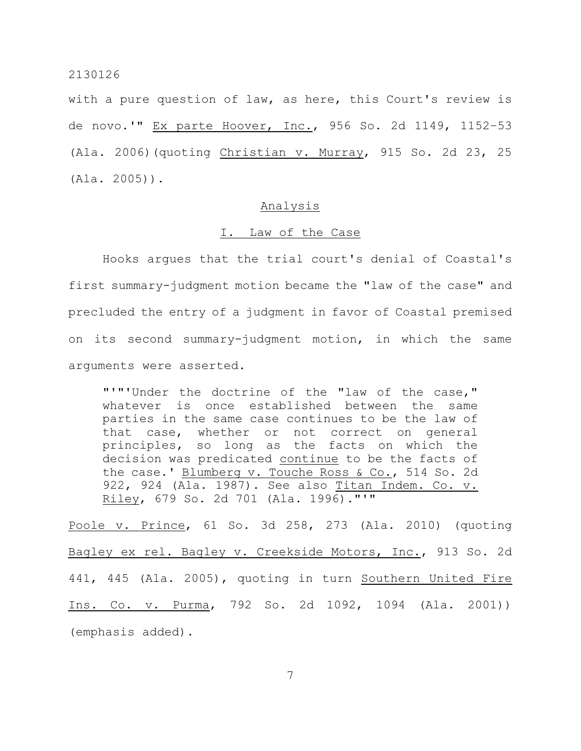with a pure question of law, as here, this Court's review is de novo.'" Ex parte Hoover, Inc., 956 So. 2d 1149, 1152–53 (Ala. 2006)(quoting Christian v. Murray, 915 So. 2d 23, 25 (Ala. 2005)).

# Analysis

#### I. Law of the Case

Hooks argues that the trial court's denial of Coastal's first summary-judgment motion became the "law of the case" and precluded the entry of a judgment in favor of Coastal premised on its second summary-judgment motion, in which the same arguments were asserted.

"'"'Under the doctrine of the "law of the case," whatever is once established between the same parties in the same case continues to be the law of that case, whether or not correct on general principles, so long as the facts on which the decision was predicated continue to be the facts of the case.' Blumberg v. Touche Ross & Co., 514 So. 2d 922, 924 (Ala. 1987). See also Titan Indem. Co. v. Riley, 679 So. 2d 701 (Ala. 1996)."'"

Poole v. Prince, 61 So. 3d 258, 273 (Ala. 2010) (quoting Bagley ex rel. Bagley v. Creekside Motors, Inc., 913 So. 2d 441, 445 (Ala. 2005), quoting in turn Southern United Fire Ins. Co. v. Purma, 792 So. 2d 1092, 1094 (Ala. 2001)) (emphasis added).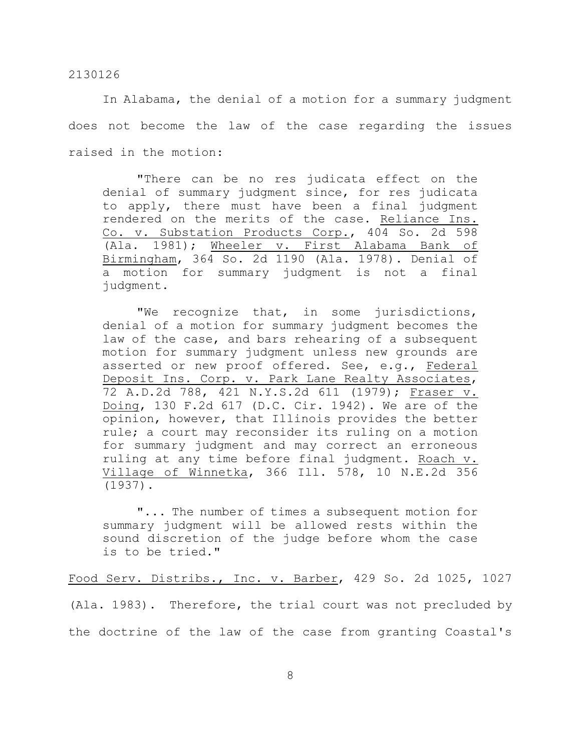In Alabama, the denial of a motion for a summary judgment does not become the law of the case regarding the issues raised in the motion:

"There can be no res judicata effect on the denial of summary judgment since, for res judicata to apply, there must have been a final judgment rendered on the merits of the case. Reliance Ins. Co. v. Substation Products Corp., 404 So. 2d 598 (Ala. 1981); Wheeler v. First Alabama Bank of Birmingham, 364 So. 2d 1190 (Ala. 1978). Denial of a motion for summary judgment is not a final judgment.

"We recognize that, in some jurisdictions, denial of a motion for summary judgment becomes the law of the case, and bars rehearing of a subsequent motion for summary judgment unless new grounds are asserted or new proof offered. See, e.g., Federal Deposit Ins. Corp. v. Park Lane Realty Associates, 72 A.D.2d 788, 421 N.Y.S.2d 611 (1979); Fraser v. Doing, 130 F.2d 617 (D.C. Cir. 1942). We are of the opinion, however, that Illinois provides the better rule; a court may reconsider its ruling on a motion for summary judgment and may correct an erroneous ruling at any time before final judgment. Roach v. Village of Winnetka, 366 Ill. 578, 10 N.E.2d 356 (1937).

"... The number of times a subsequent motion for summary judgment will be allowed rests within the sound discretion of the judge before whom the case is to be tried."

Food Serv. Distribs., Inc. v. Barber, 429 So. 2d 1025, 1027 (Ala. 1983). Therefore, the trial court was not precluded by the doctrine of the law of the case from granting Coastal's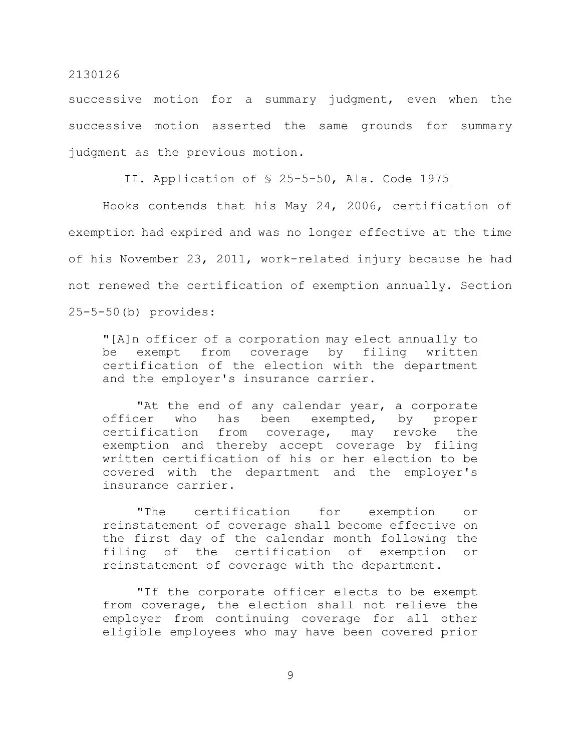successive motion for a summary judgment, even when the successive motion asserted the same grounds for summary judgment as the previous motion.

# II. Application of § 25-5-50, Ala. Code 1975

Hooks contends that his May 24, 2006, certification of exemption had expired and was no longer effective at the time of his November 23, 2011, work-related injury because he had not renewed the certification of exemption annually. Section 25-5-50(b) provides:

"[A]n officer of a corporation may elect annually to be exempt from coverage by filing written certification of the election with the department and the employer's insurance carrier.

"At the end of any calendar year, a corporate officer who has been exempted, by proper certification from coverage, may revoke the exemption and thereby accept coverage by filing written certification of his or her election to be covered with the department and the employer's insurance carrier.

"The certification for exemption or reinstatement of coverage shall become effective on the first day of the calendar month following the filing of the certification of exemption or reinstatement of coverage with the department.

"If the corporate officer elects to be exempt from coverage, the election shall not relieve the employer from continuing coverage for all other eligible employees who may have been covered prior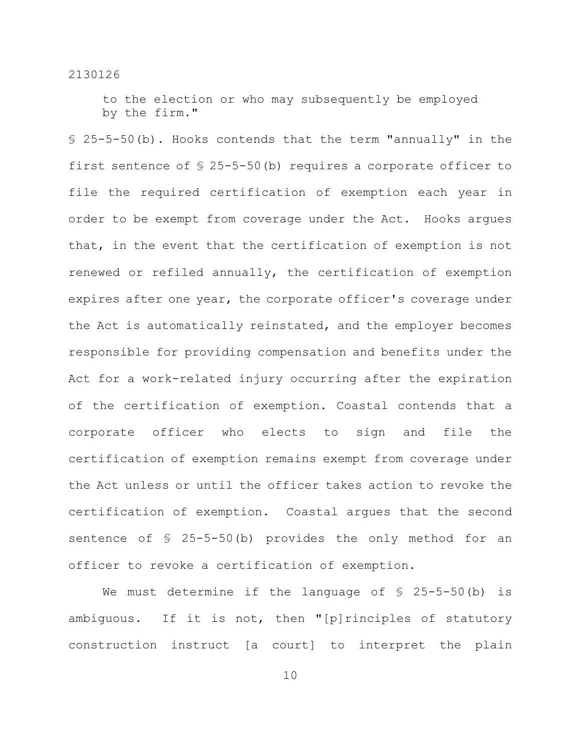to the election or who may subsequently be employed by the firm."

§ 25-5-50(b). Hooks contends that the term "annually" in the first sentence of § 25-5-50(b) requires a corporate officer to file the required certification of exemption each year in order to be exempt from coverage under the Act. Hooks argues that, in the event that the certification of exemption is not renewed or refiled annually, the certification of exemption expires after one year, the corporate officer's coverage under the Act is automatically reinstated, and the employer becomes responsible for providing compensation and benefits under the Act for a work-related injury occurring after the expiration of the certification of exemption. Coastal contends that a corporate officer who elects to sign and file the certification of exemption remains exempt from coverage under the Act unless or until the officer takes action to revoke the certification of exemption. Coastal argues that the second sentence of § 25-5-50(b) provides the only method for an officer to revoke a certification of exemption.

We must determine if the language of  $\S$  25-5-50(b) is ambiguous. If it is not, then "[p]rinciples of statutory construction instruct [a court] to interpret the plain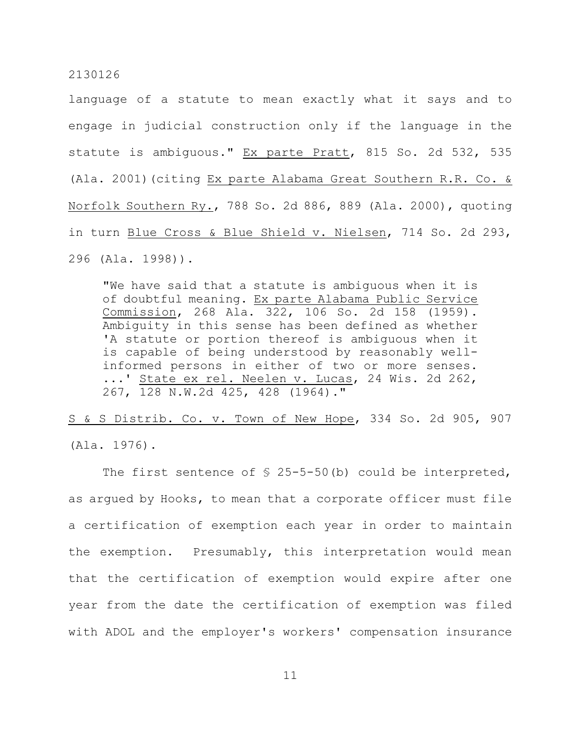language of a statute to mean exactly what it says and to engage in judicial construction only if the language in the statute is ambiguous." Ex parte Pratt, 815 So. 2d 532, 535 (Ala. 2001)(citing Ex parte Alabama Great Southern R.R. Co. & Norfolk Southern Ry., 788 So. 2d 886, 889 (Ala. 2000), quoting in turn Blue Cross & Blue Shield v. Nielsen, 714 So. 2d 293, 296 (Ala. 1998)).

"We have said that a statute is ambiguous when it is of doubtful meaning. Ex parte Alabama Public Service Commission, 268 Ala. 322, 106 So. 2d 158 (1959). Ambiguity in this sense has been defined as whether 'A statute or portion thereof is ambiguous when it is capable of being understood by reasonably wellinformed persons in either of two or more senses. ...' State ex rel. Neelen v. Lucas, 24 Wis. 2d 262, 267, 128 N.W.2d 425, 428 (1964)."

S & S Distrib. Co. v. Town of New Hope, 334 So. 2d 905, 907 (Ala. 1976).

The first sentence of  $\S$  25-5-50(b) could be interpreted, as argued by Hooks, to mean that a corporate officer must file a certification of exemption each year in order to maintain the exemption. Presumably, this interpretation would mean that the certification of exemption would expire after one year from the date the certification of exemption was filed with ADOL and the employer's workers' compensation insurance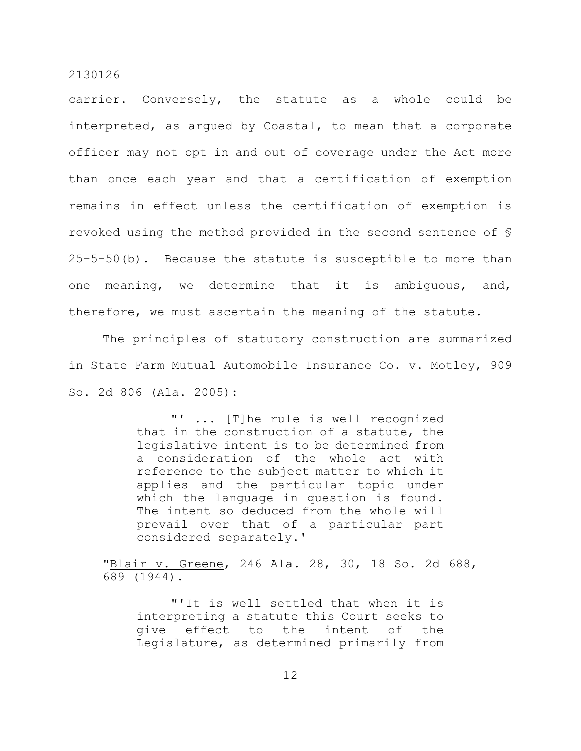carrier. Conversely, the statute as a whole could be interpreted, as argued by Coastal, to mean that a corporate officer may not opt in and out of coverage under the Act more than once each year and that a certification of exemption remains in effect unless the certification of exemption is revoked using the method provided in the second sentence of § 25-5-50(b). Because the statute is susceptible to more than one meaning, we determine that it is ambiguous, and, therefore, we must ascertain the meaning of the statute.

The principles of statutory construction are summarized in State Farm Mutual Automobile Insurance Co. v. Motley, 909 So. 2d 806 (Ala. 2005):

> "' ... [T]he rule is well recognized that in the construction of a statute, the legislative intent is to be determined from a consideration of the whole act with reference to the subject matter to which it applies and the particular topic under which the language in question is found. The intent so deduced from the whole will prevail over that of a particular part considered separately.'

"Blair v. Greene, 246 Ala. 28, 30, 18 So. 2d 688, 689 (1944).

"'It is well settled that when it is interpreting a statute this Court seeks to give effect to the intent of the Legislature, as determined primarily from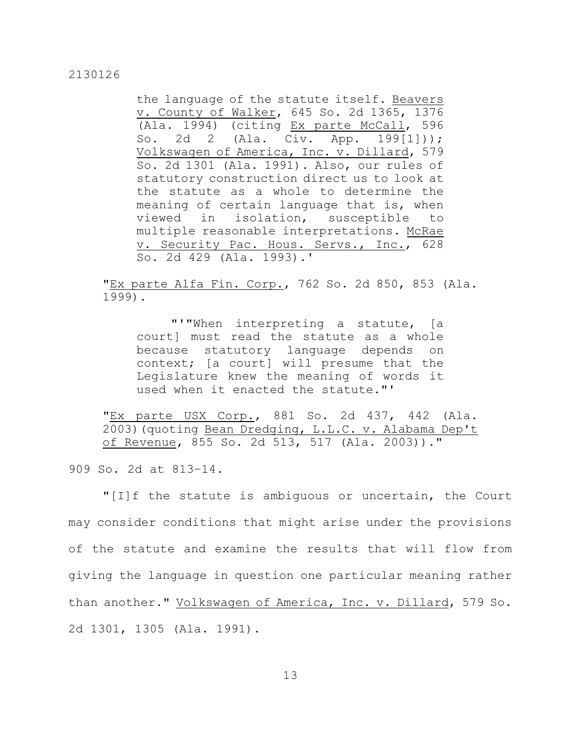the language of the statute itself. Beavers v. County of Walker, 645 So. 2d 1365, 1376 (Ala. 1994) (citing Ex parte McCall, 596 So. 2d 2 (Ala. Civ. App. 199[1])); Volkswagen of America, Inc. v. Dillard, 579 So. 2d 1301 (Ala. 1991). Also, our rules of statutory construction direct us to look at the statute as a whole to determine the meaning of certain language that is, when viewed in isolation, susceptible to multiple reasonable interpretations. McRae v. Security Pac. Hous. Servs., Inc., 628 So. 2d 429 (Ala. 1993).'

"Ex parte Alfa Fin. Corp., 762 So. 2d 850, 853 (Ala. 1999).

"'"When interpreting a statute, [a court] must read the statute as a whole because statutory language depends on context; [a court] will presume that the Legislature knew the meaning of words it used when it enacted the statute."'

"Ex parte USX Corp., 881 So. 2d 437, 442 (Ala. 2003)(quoting Bean Dredging, L.L.C. v. Alabama Dep't of Revenue, 855 So. 2d 513, 517 (Ala. 2003))."

909 So. 2d at 813–14.

"[I]f the statute is ambiguous or uncertain, the Court may consider conditions that might arise under the provisions of the statute and examine the results that will flow from giving the language in question one particular meaning rather than another." Volkswagen of America, Inc. v. Dillard, 579 So. 2d 1301, 1305 (Ala. 1991).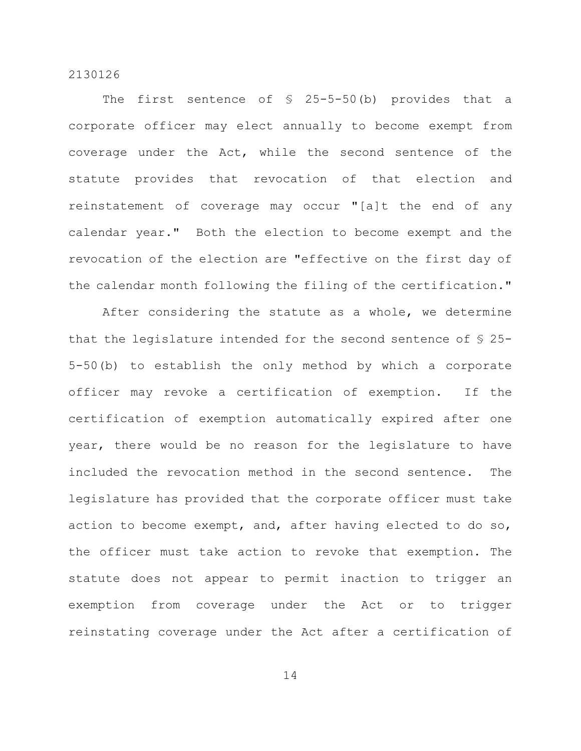The first sentence of  $\frac{1}{2}$  25-5-50(b) provides that a corporate officer may elect annually to become exempt from coverage under the Act, while the second sentence of the statute provides that revocation of that election and reinstatement of coverage may occur "[a]t the end of any calendar year." Both the election to become exempt and the revocation of the election are "effective on the first day of the calendar month following the filing of the certification."

After considering the statute as a whole, we determine that the legislature intended for the second sentence of § 25- 5-50(b) to establish the only method by which a corporate officer may revoke a certification of exemption. If the certification of exemption automatically expired after one year, there would be no reason for the legislature to have included the revocation method in the second sentence. The legislature has provided that the corporate officer must take action to become exempt, and, after having elected to do so, the officer must take action to revoke that exemption. The statute does not appear to permit inaction to trigger an exemption from coverage under the Act or to trigger reinstating coverage under the Act after a certification of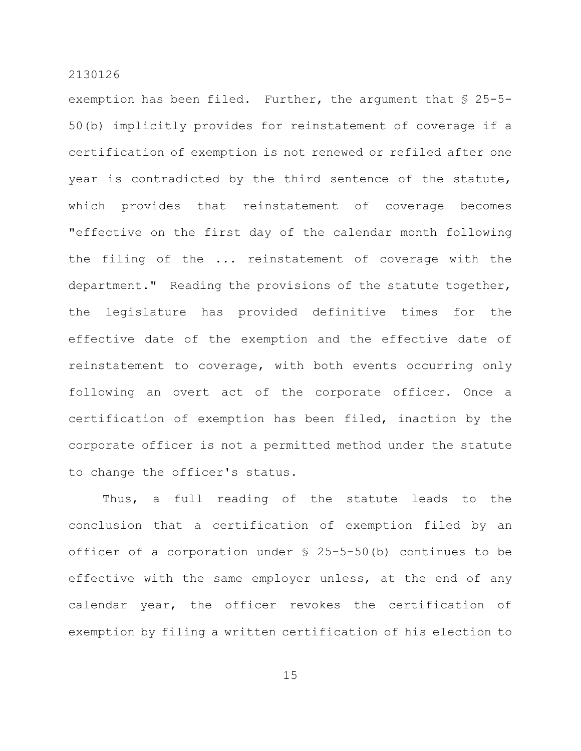exemption has been filed. Further, the argument that § 25-5- 50(b) implicitly provides for reinstatement of coverage if a certification of exemption is not renewed or refiled after one year is contradicted by the third sentence of the statute, which provides that reinstatement of coverage becomes "effective on the first day of the calendar month following the filing of the ... reinstatement of coverage with the department." Reading the provisions of the statute together, the legislature has provided definitive times for the effective date of the exemption and the effective date of reinstatement to coverage, with both events occurring only following an overt act of the corporate officer. Once a certification of exemption has been filed, inaction by the corporate officer is not a permitted method under the statute to change the officer's status.

Thus, a full reading of the statute leads to the conclusion that a certification of exemption filed by an officer of a corporation under § 25-5-50(b) continues to be effective with the same employer unless, at the end of any calendar year, the officer revokes the certification of exemption by filing a written certification of his election to